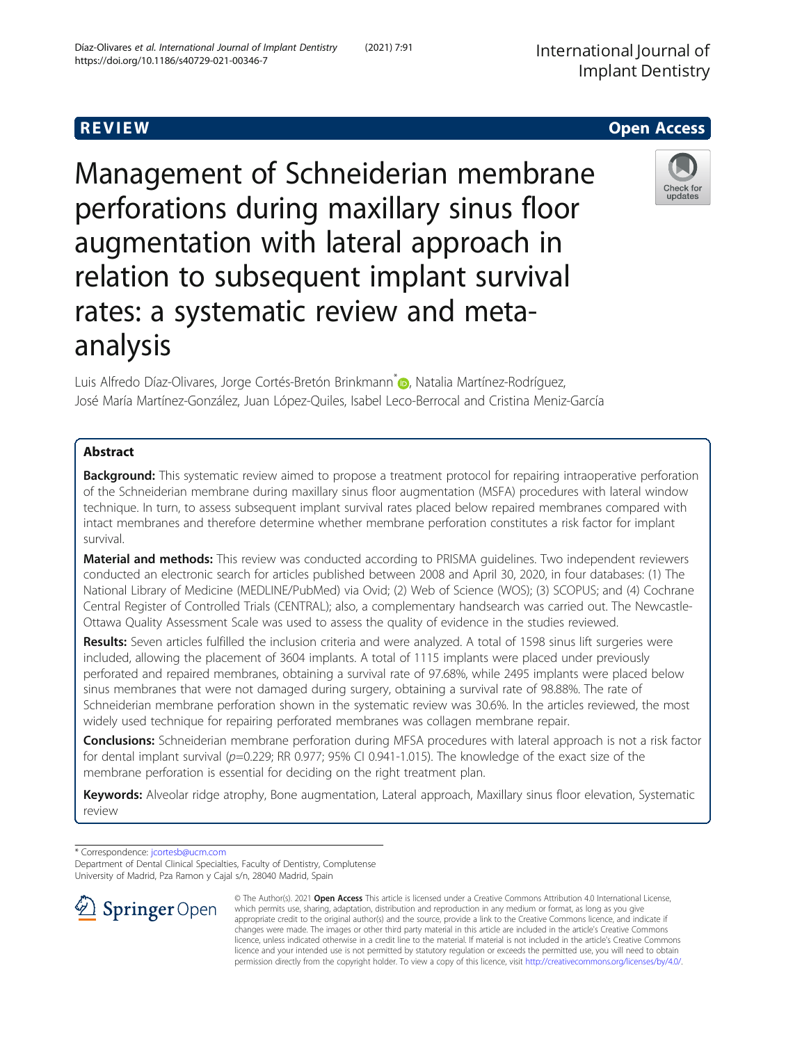Management of Schneiderian membrane perforations during maxillary sinus floor augmentation with lateral approach in relation to subsequent implant survival rates: a systematic review and metaanalysis

Luis Alfredo Díaz-Olivares, Jorge Cortés-Bretón Brinkmann<sup>[\\*](http://orcid.org/0000-0003-1701-8867)</sup> D, Natalia Martínez-Rodríguez, José María Martínez-González, Juan López-Quiles, Isabel Leco-Berrocal and Cristina Meniz-García

# Abstract

**Background:** This systematic review aimed to propose a treatment protocol for repairing intraoperative perforation of the Schneiderian membrane during maxillary sinus floor augmentation (MSFA) procedures with lateral window technique. In turn, to assess subsequent implant survival rates placed below repaired membranes compared with intact membranes and therefore determine whether membrane perforation constitutes a risk factor for implant survival.

**Material and methods:** This review was conducted according to PRISMA quidelines. Two independent reviewers conducted an electronic search for articles published between 2008 and April 30, 2020, in four databases: (1) The National Library of Medicine (MEDLINE/PubMed) via Ovid; (2) Web of Science (WOS); (3) SCOPUS; and (4) Cochrane Central Register of Controlled Trials (CENTRAL); also, a complementary handsearch was carried out. The Newcastle-Ottawa Quality Assessment Scale was used to assess the quality of evidence in the studies reviewed.

Results: Seven articles fulfilled the inclusion criteria and were analyzed. A total of 1598 sinus lift surgeries were included, allowing the placement of 3604 implants. A total of 1115 implants were placed under previously perforated and repaired membranes, obtaining a survival rate of 97.68%, while 2495 implants were placed below sinus membranes that were not damaged during surgery, obtaining a survival rate of 98.88%. The rate of Schneiderian membrane perforation shown in the systematic review was 30.6%. In the articles reviewed, the most widely used technique for repairing perforated membranes was collagen membrane repair.

Conclusions: Schneiderian membrane perforation during MFSA procedures with lateral approach is not a risk factor for dental implant survival ( $p=0.229$ ; RR 0.977; 95% CI 0.941-1.015). The knowledge of the exact size of the membrane perforation is essential for deciding on the right treatment plan.

Keywords: Alveolar ridge atrophy, Bone augmentation, Lateral approach, Maxillary sinus floor elevation, Systematic review

\* Correspondence: [jcortesb@ucm.com](mailto:jcortesb@ucm.com)

Department of Dental Clinical Specialties, Faculty of Dentistry, Complutense University of Madrid, Pza Ramon y Cajal s/n, 28040 Madrid, Spain

> © The Author(s). 2021 Open Access This article is licensed under a Creative Commons Attribution 4.0 International License, which permits use, sharing, adaptation, distribution and reproduction in any medium or format, as long as you give appropriate credit to the original author(s) and the source, provide a link to the Creative Commons licence, and indicate if changes were made. The images or other third party material in this article are included in the article's Creative Commons licence, unless indicated otherwise in a credit line to the material. If material is not included in the article's Creative Commons licence and your intended use is not permitted by statutory regulation or exceeds the permitted use, you will need to obtain permission directly from the copyright holder. To view a copy of this licence, visit <http://creativecommons.org/licenses/by/4.0/>.

SpringerOpen





R EVI EW Open Access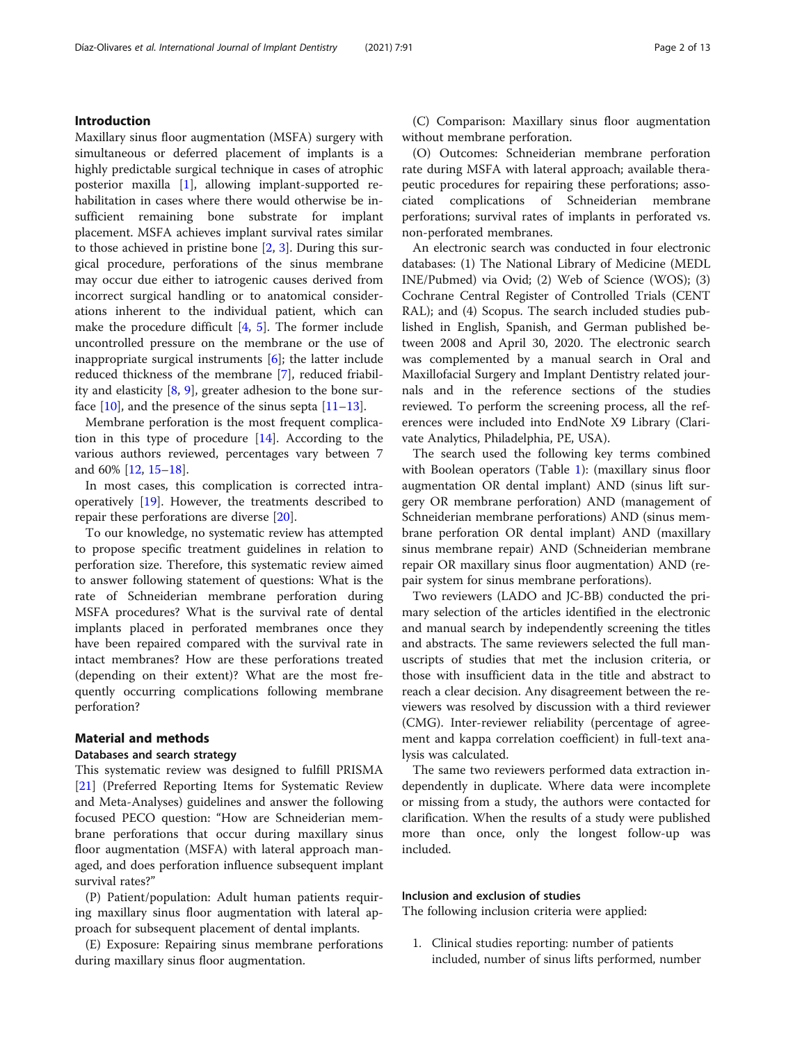# Introduction

Maxillary sinus floor augmentation (MSFA) surgery with simultaneous or deferred placement of implants is a highly predictable surgical technique in cases of atrophic posterior maxilla [[1\]](#page-10-0), allowing implant-supported rehabilitation in cases where there would otherwise be insufficient remaining bone substrate for implant placement. MSFA achieves implant survival rates similar to those achieved in pristine bone [\[2](#page-10-0), [3](#page-10-0)]. During this surgical procedure, perforations of the sinus membrane may occur due either to iatrogenic causes derived from incorrect surgical handling or to anatomical considerations inherent to the individual patient, which can make the procedure difficult [\[4](#page-10-0), [5](#page-10-0)]. The former include uncontrolled pressure on the membrane or the use of inappropriate surgical instruments [[6\]](#page-10-0); the latter include reduced thickness of the membrane [\[7\]](#page-10-0), reduced friability and elasticity [[8,](#page-10-0) [9\]](#page-10-0), greater adhesion to the bone surface  $[10]$  $[10]$ , and the presence of the sinus septa  $[11-13]$  $[11-13]$  $[11-13]$  $[11-13]$ .

Membrane perforation is the most frequent complication in this type of procedure [\[14](#page-10-0)]. According to the various authors reviewed, percentages vary between 7 and 60% [\[12](#page-10-0), [15](#page-10-0)–[18\]](#page-10-0).

In most cases, this complication is corrected intraoperatively [\[19\]](#page-10-0). However, the treatments described to repair these perforations are diverse [[20\]](#page-10-0).

To our knowledge, no systematic review has attempted to propose specific treatment guidelines in relation to perforation size. Therefore, this systematic review aimed to answer following statement of questions: What is the rate of Schneiderian membrane perforation during MSFA procedures? What is the survival rate of dental implants placed in perforated membranes once they have been repaired compared with the survival rate in intact membranes? How are these perforations treated (depending on their extent)? What are the most frequently occurring complications following membrane perforation?

# Material and methods

# Databases and search strategy

This systematic review was designed to fulfill PRISMA [[21\]](#page-10-0) (Preferred Reporting Items for Systematic Review and Meta-Analyses) guidelines and answer the following focused PECO question: "How are Schneiderian membrane perforations that occur during maxillary sinus floor augmentation (MSFA) with lateral approach managed, and does perforation influence subsequent implant survival rates?"

(P) Patient/population: Adult human patients requiring maxillary sinus floor augmentation with lateral approach for subsequent placement of dental implants.

(E) Exposure: Repairing sinus membrane perforations during maxillary sinus floor augmentation.

(C) Comparison: Maxillary sinus floor augmentation without membrane perforation.

(O) Outcomes: Schneiderian membrane perforation rate during MSFA with lateral approach; available therapeutic procedures for repairing these perforations; associated complications of Schneiderian membrane perforations; survival rates of implants in perforated vs. non-perforated membranes.

An electronic search was conducted in four electronic databases: (1) The National Library of Medicine (MEDL INE/Pubmed) via Ovid; (2) Web of Science (WOS); (3) Cochrane Central Register of Controlled Trials (CENT RAL); and (4) Scopus. The search included studies published in English, Spanish, and German published between 2008 and April 30, 2020. The electronic search was complemented by a manual search in Oral and Maxillofacial Surgery and Implant Dentistry related journals and in the reference sections of the studies reviewed. To perform the screening process, all the references were included into EndNote X9 Library (Clarivate Analytics, Philadelphia, PE, USA).

The search used the following key terms combined with Boolean operators (Table [1\)](#page-2-0): (maxillary sinus floor augmentation OR dental implant) AND (sinus lift surgery OR membrane perforation) AND (management of Schneiderian membrane perforations) AND (sinus membrane perforation OR dental implant) AND (maxillary sinus membrane repair) AND (Schneiderian membrane repair OR maxillary sinus floor augmentation) AND (repair system for sinus membrane perforations).

Two reviewers (LADO and JC-BB) conducted the primary selection of the articles identified in the electronic and manual search by independently screening the titles and abstracts. The same reviewers selected the full manuscripts of studies that met the inclusion criteria, or those with insufficient data in the title and abstract to reach a clear decision. Any disagreement between the reviewers was resolved by discussion with a third reviewer (CMG). Inter-reviewer reliability (percentage of agreement and kappa correlation coefficient) in full-text analysis was calculated.

The same two reviewers performed data extraction independently in duplicate. Where data were incomplete or missing from a study, the authors were contacted for clarification. When the results of a study were published more than once, only the longest follow-up was included.

## Inclusion and exclusion of studies

The following inclusion criteria were applied:

1. Clinical studies reporting: number of patients included, number of sinus lifts performed, number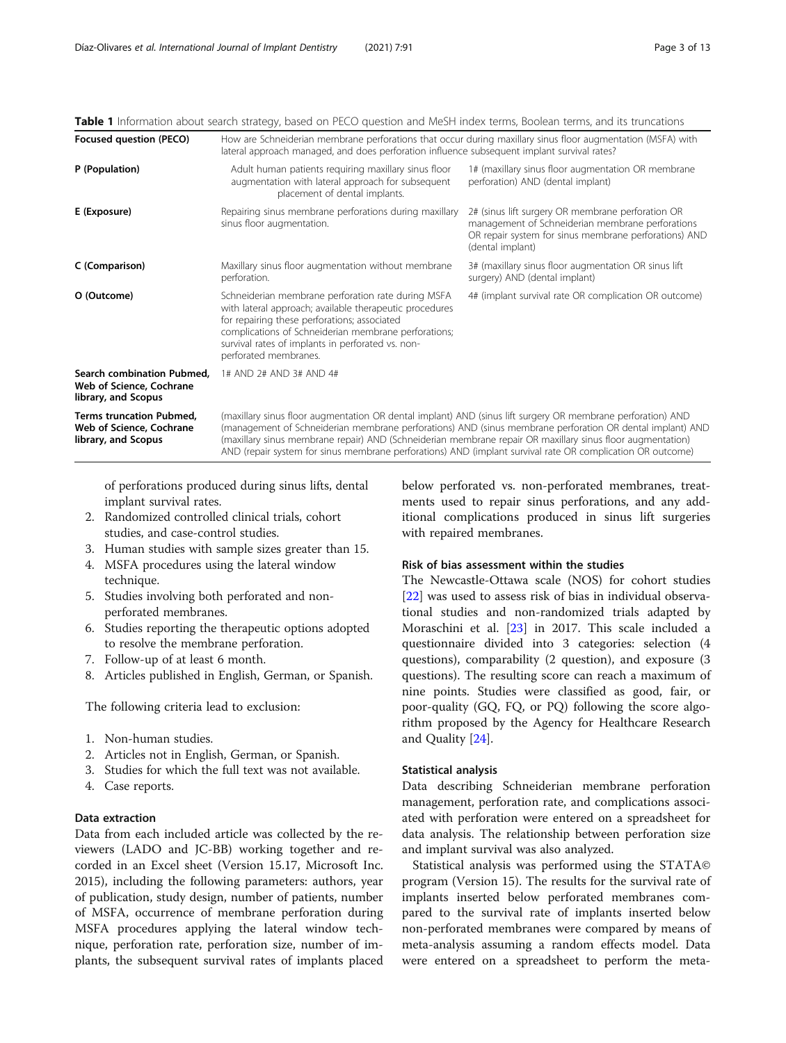<span id="page-2-0"></span>Table 1 Information about search strategy, based on PECO question and MeSH index terms, Boolean terms, and its truncations

| Focused question (PECO)                                                            | How are Schneiderian membrane perforations that occur during maxillary sinus floor augmentation (MSFA) with<br>lateral approach managed, and does perforation influence subsequent implant survival rates?                                                                                                                                                                                                                                           |                                                                                                                                                                                    |  |  |  |
|------------------------------------------------------------------------------------|------------------------------------------------------------------------------------------------------------------------------------------------------------------------------------------------------------------------------------------------------------------------------------------------------------------------------------------------------------------------------------------------------------------------------------------------------|------------------------------------------------------------------------------------------------------------------------------------------------------------------------------------|--|--|--|
| P (Population)                                                                     | Adult human patients requiring maxillary sinus floor<br>augmentation with lateral approach for subsequent<br>placement of dental implants.                                                                                                                                                                                                                                                                                                           | 1# (maxillary sinus floor augmentation OR membrane<br>perforation) AND (dental implant)                                                                                            |  |  |  |
| E (Exposure)                                                                       | Repairing sinus membrane perforations during maxillary<br>sinus floor augmentation.                                                                                                                                                                                                                                                                                                                                                                  | 2# (sinus lift surgery OR membrane perforation OR<br>management of Schneiderian membrane perforations<br>OR repair system for sinus membrane perforations) AND<br>(dental implant) |  |  |  |
| C (Comparison)                                                                     | Maxillary sinus floor augmentation without membrane<br>perforation.                                                                                                                                                                                                                                                                                                                                                                                  | 3# (maxillary sinus floor augmentation OR sinus lift<br>surgery) AND (dental implant)                                                                                              |  |  |  |
| O (Outcome)                                                                        | Schneiderian membrane perforation rate during MSFA<br>with lateral approach; available therapeutic procedures<br>for repairing these perforations; associated<br>complications of Schneiderian membrane perforations;<br>survival rates of implants in perforated vs. non-<br>perforated membranes.                                                                                                                                                  | 4# (implant survival rate OR complication OR outcome)                                                                                                                              |  |  |  |
| Search combination Pubmed,<br>Web of Science, Cochrane<br>library, and Scopus      | 1# AND 2# AND 3# AND 4#                                                                                                                                                                                                                                                                                                                                                                                                                              |                                                                                                                                                                                    |  |  |  |
| <b>Terms truncation Pubmed,</b><br>Web of Science, Cochrane<br>library, and Scopus | (maxillary sinus floor augmentation OR dental implant) AND (sinus lift surgery OR membrane perforation) AND<br>(management of Schneiderian membrane perforations) AND (sinus membrane perforation OR dental implant) AND<br>(maxillary sinus membrane repair) AND (Schneiderian membrane repair OR maxillary sinus floor augmentation)<br>AND (repair system for sinus membrane perforations) AND (implant survival rate OR complication OR outcome) |                                                                                                                                                                                    |  |  |  |

of perforations produced during sinus lifts, dental implant survival rates.

- 2. Randomized controlled clinical trials, cohort studies, and case-control studies.
- 3. Human studies with sample sizes greater than 15.
- 4. MSFA procedures using the lateral window technique.
- 5. Studies involving both perforated and nonperforated membranes.
- 6. Studies reporting the therapeutic options adopted to resolve the membrane perforation.
- 7. Follow-up of at least 6 month.
- 8. Articles published in English, German, or Spanish.

The following criteria lead to exclusion:

- 1. Non-human studies.
- 2. Articles not in English, German, or Spanish.
- 3. Studies for which the full text was not available.
- 4. Case reports.

# Data extraction

Data from each included article was collected by the reviewers (LADO and JC-BB) working together and recorded in an Excel sheet (Version 15.17, Microsoft Inc. 2015), including the following parameters: authors, year of publication, study design, number of patients, number of MSFA, occurrence of membrane perforation during MSFA procedures applying the lateral window technique, perforation rate, perforation size, number of implants, the subsequent survival rates of implants placed

below perforated vs. non-perforated membranes, treatments used to repair sinus perforations, and any additional complications produced in sinus lift surgeries with repaired membranes.

# Risk of bias assessment within the studies

The Newcastle-Ottawa scale (NOS) for cohort studies [[22\]](#page-10-0) was used to assess risk of bias in individual observational studies and non-randomized trials adapted by Moraschini et al. [[23\]](#page-10-0) in 2017. This scale included a questionnaire divided into 3 categories: selection (4 questions), comparability (2 question), and exposure (3 questions). The resulting score can reach a maximum of nine points. Studies were classified as good, fair, or poor-quality (GQ, FQ, or PQ) following the score algorithm proposed by the Agency for Healthcare Research and Quality [[24\]](#page-10-0).

## Statistical analysis

Data describing Schneiderian membrane perforation management, perforation rate, and complications associated with perforation were entered on a spreadsheet for data analysis. The relationship between perforation size and implant survival was also analyzed.

Statistical analysis was performed using the STATA© program (Version 15). The results for the survival rate of implants inserted below perforated membranes compared to the survival rate of implants inserted below non-perforated membranes were compared by means of meta-analysis assuming a random effects model. Data were entered on a spreadsheet to perform the meta-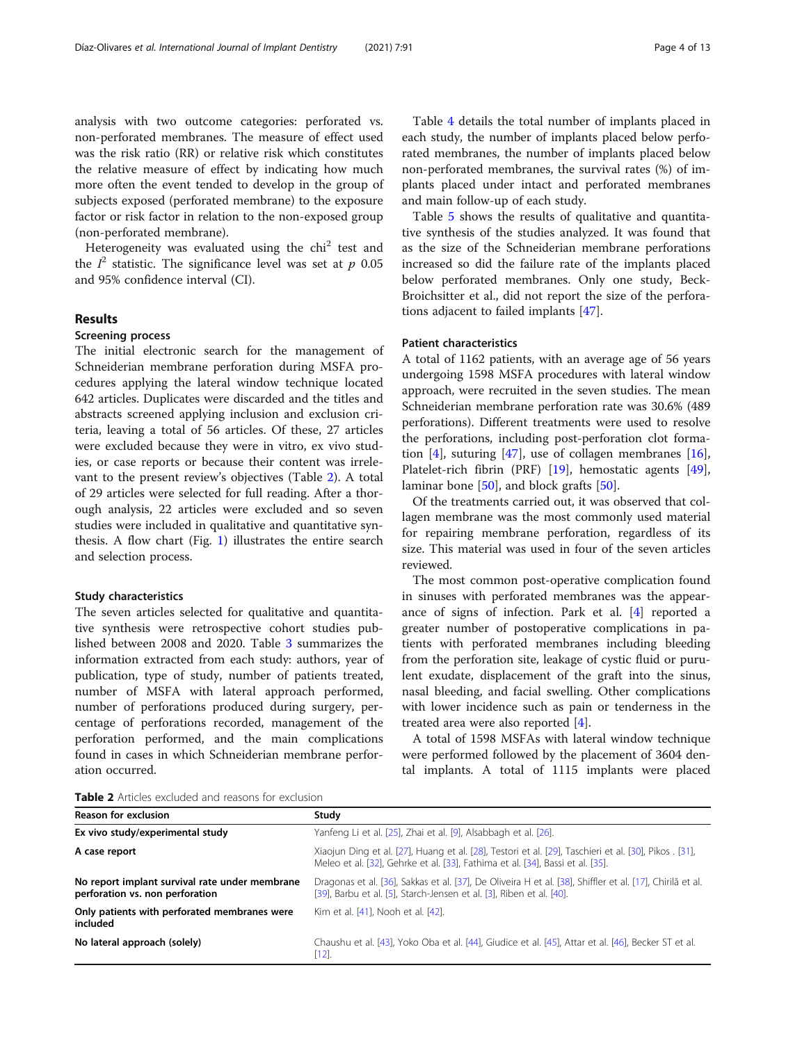analysis with two outcome categories: perforated vs. non-perforated membranes. The measure of effect used was the risk ratio (RR) or relative risk which constitutes the relative measure of effect by indicating how much more often the event tended to develop in the group of subjects exposed (perforated membrane) to the exposure factor or risk factor in relation to the non-exposed group (non-perforated membrane).

Heterogeneity was evaluated using the  $\chi$ hi<sup>2</sup> test and the  $I^2$  statistic. The significance level was set at  $p$  0.05 and 95% confidence interval (CI).

# Results

## Screening process

The initial electronic search for the management of Schneiderian membrane perforation during MSFA procedures applying the lateral window technique located 642 articles. Duplicates were discarded and the titles and abstracts screened applying inclusion and exclusion criteria, leaving a total of 56 articles. Of these, 27 articles were excluded because they were in vitro, ex vivo studies, or case reports or because their content was irrelevant to the present review's objectives (Table 2). A total of 29 articles were selected for full reading. After a thorough analysis, 22 articles were excluded and so seven studies were included in qualitative and quantitative synthesis. A flow chart (Fig. [1\)](#page-4-0) illustrates the entire search and selection process.

## Study characteristics

The seven articles selected for qualitative and quantitative synthesis were retrospective cohort studies published between 2008 and 2020. Table [3](#page-4-0) summarizes the information extracted from each study: authors, year of publication, type of study, number of patients treated, number of MSFA with lateral approach performed, number of perforations produced during surgery, percentage of perforations recorded, management of the perforation performed, and the main complications found in cases in which Schneiderian membrane perforation occurred.

Table [4](#page-5-0) details the total number of implants placed in each study, the number of implants placed below perforated membranes, the number of implants placed below non-perforated membranes, the survival rates (%) of implants placed under intact and perforated membranes and main follow-up of each study.

Table [5](#page-6-0) shows the results of qualitative and quantitative synthesis of the studies analyzed. It was found that as the size of the Schneiderian membrane perforations increased so did the failure rate of the implants placed below perforated membranes. Only one study, Beck-Broichsitter et al., did not report the size of the perforations adjacent to failed implants [\[47\]](#page-11-0).

## Patient characteristics

A total of 1162 patients, with an average age of 56 years undergoing 1598 MSFA procedures with lateral window approach, were recruited in the seven studies. The mean Schneiderian membrane perforation rate was 30.6% (489 perforations). Different treatments were used to resolve the perforations, including post-perforation clot forma-tion [\[4\]](#page-10-0), suturing [\[47\]](#page-11-0), use of collagen membranes [\[16](#page-10-0)], Platelet-rich fibrin (PRF) [[19\]](#page-10-0), hemostatic agents [\[49](#page-11-0)], laminar bone [[50\]](#page-11-0), and block grafts [50].

Of the treatments carried out, it was observed that collagen membrane was the most commonly used material for repairing membrane perforation, regardless of its size. This material was used in four of the seven articles reviewed.

The most common post-operative complication found in sinuses with perforated membranes was the appearance of signs of infection. Park et al. [\[4](#page-10-0)] reported a greater number of postoperative complications in patients with perforated membranes including bleeding from the perforation site, leakage of cystic fluid or purulent exudate, displacement of the graft into the sinus, nasal bleeding, and facial swelling. Other complications with lower incidence such as pain or tenderness in the treated area were also reported [[4\]](#page-10-0).

A total of 1598 MSFAs with lateral window technique were performed followed by the placement of 3604 dental implants. A total of 1115 implants were placed

Table 2 Articles excluded and reasons for exclusion

| <b>Reason for exclusion</b>                                                       | Study                                                                                                                                                                                    |  |  |  |
|-----------------------------------------------------------------------------------|------------------------------------------------------------------------------------------------------------------------------------------------------------------------------------------|--|--|--|
| Ex vivo study/experimental study                                                  | Yanfeng Li et al. [25], Zhai et al. [9], Alsabbagh et al. [26].                                                                                                                          |  |  |  |
| A case report                                                                     | Xiaojun Ding et al. [27], Huang et al. [28], Testori et al. [29], Taschieri et al. [30], Pikos . [31],<br>Meleo et al. [32], Gehrke et al. [33], Fathima et al. [34], Bassi et al. [35]. |  |  |  |
| No report implant survival rate under membrane<br>perforation vs. non perforation | Dragonas et al. [36], Sakkas et al. [37], De Oliveira H et al. [38], Shiffler et al. [17], Chirilă et al.<br>[39], Barbu et al. [5], Starch-Jensen et al. [3], Riben et al. [40].        |  |  |  |
| Only patients with perforated membranes were<br>included                          | Kim et al. [41], Nooh et al. [42].                                                                                                                                                       |  |  |  |
| No lateral approach (solely)                                                      | Chaushu et al. [43], Yoko Oba et al. [44], Giudice et al. [45], Attar et al. [46], Becker ST et al.<br>$[12].$                                                                           |  |  |  |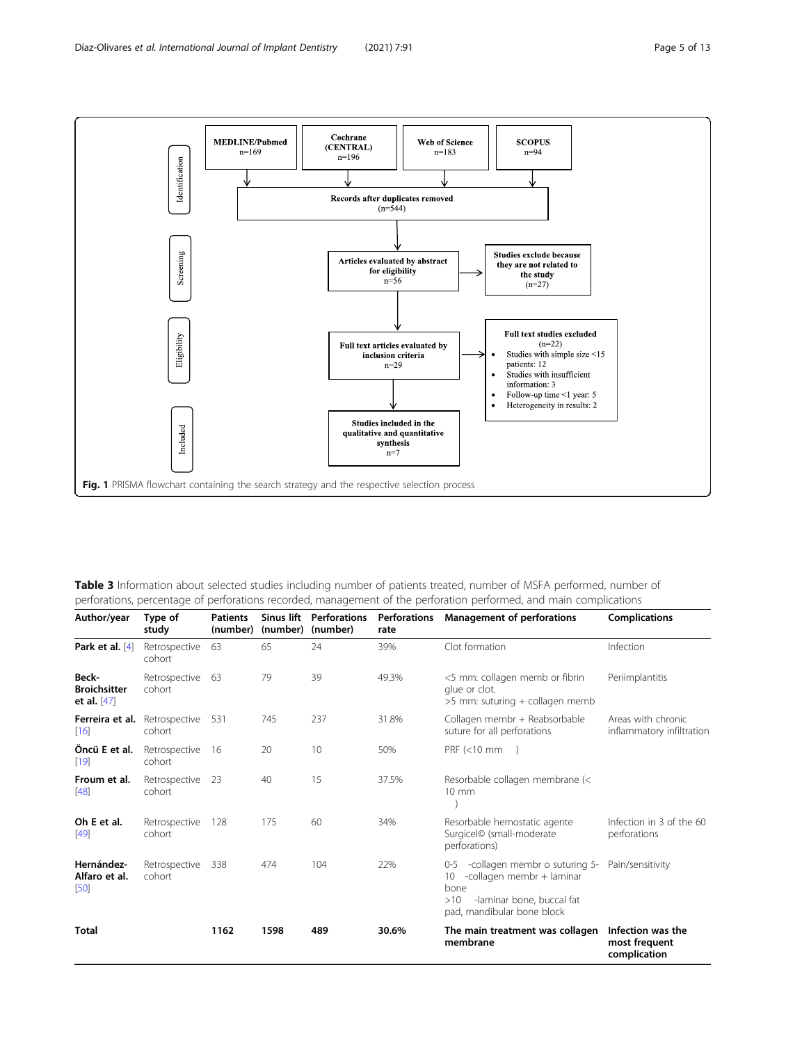<span id="page-4-0"></span>

| Table 3 Information about selected studies including number of patients treated, number of MSFA performed, number of |  |
|----------------------------------------------------------------------------------------------------------------------|--|
| perforations, percentage of perforations recorded, management of the perforation performed, and main complications   |  |

| Author/year                                   | Type of<br>study        | <b>Patients</b><br>(number) | Sinus lift<br>(number) | <b>Perforations</b><br>(number) | <b>Perforations</b><br>rate | <b>Management of perforations</b>                                                                                                                     | <b>Complications</b>                               |
|-----------------------------------------------|-------------------------|-----------------------------|------------------------|---------------------------------|-----------------------------|-------------------------------------------------------------------------------------------------------------------------------------------------------|----------------------------------------------------|
| Park et al. $[4]$                             | Retrospective<br>cohort | 63                          | 65                     | 24                              | 39%                         | Clot formation                                                                                                                                        | Infection                                          |
| Beck-<br><b>Broichsitter</b><br>et al. $[47]$ | Retrospective<br>cohort | 63                          | 79                     | 39                              | 49.3%                       | <5 mm: collagen memb or fibrin<br>glue or clot.<br>>5 mm: suturing + collagen memb                                                                    | Periimplantitis                                    |
| Ferreira et al.<br>[16]                       | Retrospective<br>cohort | 531                         | 745                    | 237                             | 31.8%                       | Collagen membr + Reabsorbable<br>suture for all perforations                                                                                          | Areas with chronic<br>inflammatory infiltration    |
| Öncü E et al.<br>[19]                         | Retrospective<br>cohort | 16                          | 20                     | 10                              | 50%                         | $PRF \leq 10 \text{ mm}$ )                                                                                                                            |                                                    |
| Froum et al.<br>[48]                          | Retrospective<br>cohort | -23                         | 40                     | 15                              | 37.5%                       | Resorbable collagen membrane (<<br>$10 \text{ mm}$                                                                                                    |                                                    |
| Oh E et al.<br>[49]                           | Retrospective<br>cohort | 128                         | 175                    | 60                              | 34%                         | Resorbable hemostatic agente<br>Surgicel© (small-moderate<br>perforations)                                                                            | Infection in 3 of the 60<br>perforations           |
| Hernández-<br>Alfaro et al.<br>[50]           | Retrospective<br>cohort | 338                         | 474                    | 104                             | 22%                         | -collagen membr o suturing 5-<br>$0 - 5$<br>-collagen membr + laminar<br>10<br>bone<br>-laminar bone, buccal fat<br>>10<br>pad, mandibular bone block | Pain/sensitivity                                   |
| Total                                         |                         | 1162                        | 1598                   | 489                             | 30.6%                       | The main treatment was collagen<br>membrane                                                                                                           | Infection was the<br>most frequent<br>complication |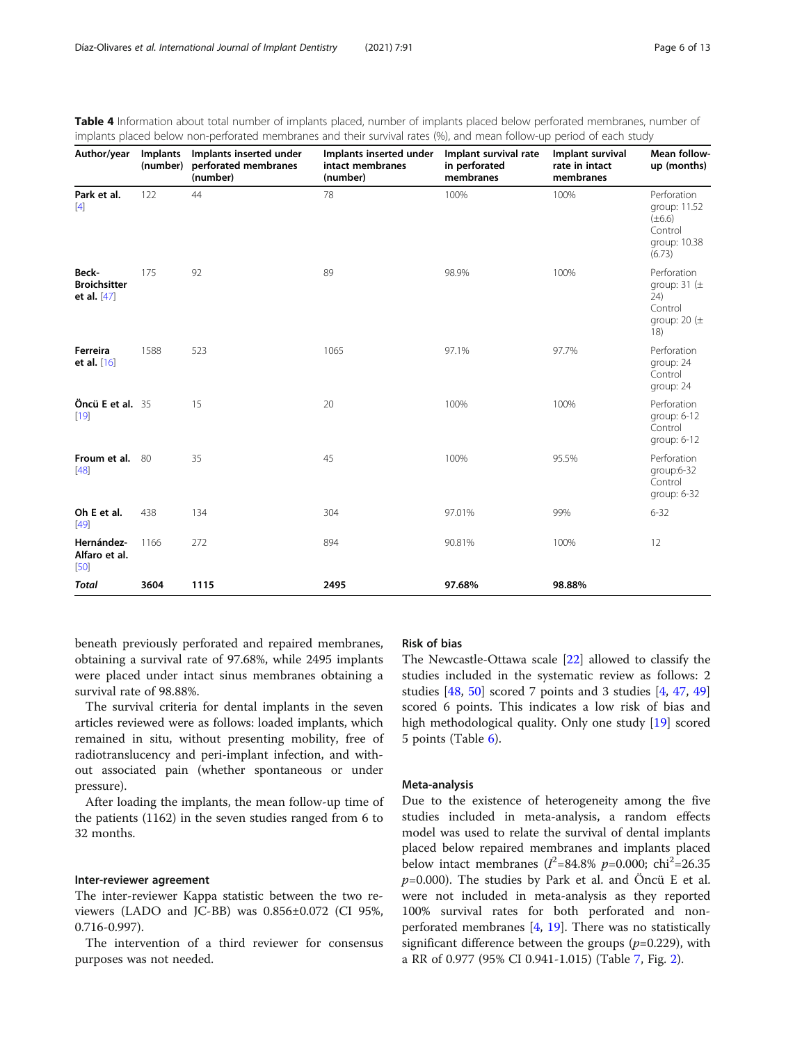| Author/year                                 | Implants<br>(number) | Implants inserted under<br>perforated membranes<br>(number) | Implants inserted under<br>intact membranes<br>(number) | Implant survival rate<br>in perforated<br>membranes | Implant survival<br>rate in intact<br>membranes | Mean follow-<br>up (months)                                                     |
|---------------------------------------------|----------------------|-------------------------------------------------------------|---------------------------------------------------------|-----------------------------------------------------|-------------------------------------------------|---------------------------------------------------------------------------------|
| Park et al.<br>$[4]$                        | 122                  | 44                                                          | 78                                                      | 100%                                                | 100%                                            | Perforation<br>group: 11.52<br>$(\pm 6.6)$<br>Control<br>group: 10.38<br>(6.73) |
| Beck-<br><b>Broichsitter</b><br>et al. [47] | 175                  | 92                                                          | 89                                                      | 98.9%                                               | 100%                                            | Perforation<br>group: $31 (\pm$<br>24)<br>Control<br>group: 20 $(\pm$<br>18)    |
| Ferreira<br>et al. [16]                     | 1588                 | 523                                                         | 1065                                                    | 97.1%                                               | 97.7%                                           | Perforation<br>group: 24<br>Control<br>group: 24                                |
| Öncü E et al. 35<br>$[19]$                  |                      | 15                                                          | 20                                                      | 100%                                                | 100%                                            | Perforation<br>group: 6-12<br>Control<br>group: 6-12                            |
| Froum et al.<br>$[48]$                      | 80                   | 35                                                          | 45                                                      | 100%                                                | 95.5%                                           | Perforation<br>group:6-32<br>Control<br>group: 6-32                             |
| Oh E et al.<br>$[49]$                       | 438                  | 134                                                         | 304                                                     | 97.01%                                              | 99%                                             | $6 - 32$                                                                        |
| Hernández-<br>Alfaro et al.<br>$[50]$       | 1166                 | 272                                                         | 894                                                     | 90.81%                                              | 100%                                            | 12                                                                              |
| <b>Total</b>                                | 3604                 | 1115                                                        | 2495                                                    | 97.68%                                              | 98.88%                                          |                                                                                 |

<span id="page-5-0"></span>

| Table 4 Information about total number of implants placed, number of implants placed below perforated membranes, number of |  |
|----------------------------------------------------------------------------------------------------------------------------|--|
| implants placed below non-perforated membranes and their survival rates (%), and mean follow-up period of each study       |  |

beneath previously perforated and repaired membranes, obtaining a survival rate of 97.68%, while 2495 implants were placed under intact sinus membranes obtaining a survival rate of 98.88%.

The survival criteria for dental implants in the seven articles reviewed were as follows: loaded implants, which remained in situ, without presenting mobility, free of radiotranslucency and peri-implant infection, and without associated pain (whether spontaneous or under pressure).

After loading the implants, the mean follow-up time of the patients (1162) in the seven studies ranged from 6 to 32 months.

# Inter-reviewer agreement

The inter-reviewer Kappa statistic between the two reviewers (LADO and JC-BB) was 0.856±0.072 (CI 95%, 0.716-0.997).

The intervention of a third reviewer for consensus purposes was not needed.

# Risk of bias

The Newcastle-Ottawa scale [[22](#page-10-0)] allowed to classify the studies included in the systematic review as follows: 2 studies [[48](#page-11-0), [50\]](#page-11-0) scored 7 points and 3 studies [[4,](#page-10-0) [47](#page-11-0), [49](#page-11-0)] scored 6 points. This indicates a low risk of bias and high methodological quality. Only one study [[19](#page-10-0)] scored 5 points (Table [6\)](#page-6-0).

# Meta-analysis

Due to the existence of heterogeneity among the five studies included in meta-analysis, a random effects model was used to relate the survival of dental implants placed below repaired membranes and implants placed below intact membranes ( $I^2 = 84.8\%$  p=0.000; chi<sup>2</sup>=26.35  $p=0.000$ ). The studies by Park et al. and Öncü E et al. were not included in meta-analysis as they reported 100% survival rates for both perforated and nonperforated membranes [\[4](#page-10-0), [19\]](#page-10-0). There was no statistically significant difference between the groups  $(p=0.229)$ , with a RR of 0.977 (95% CI 0.941-1.015) (Table [7,](#page-7-0) Fig. [2](#page-7-0)).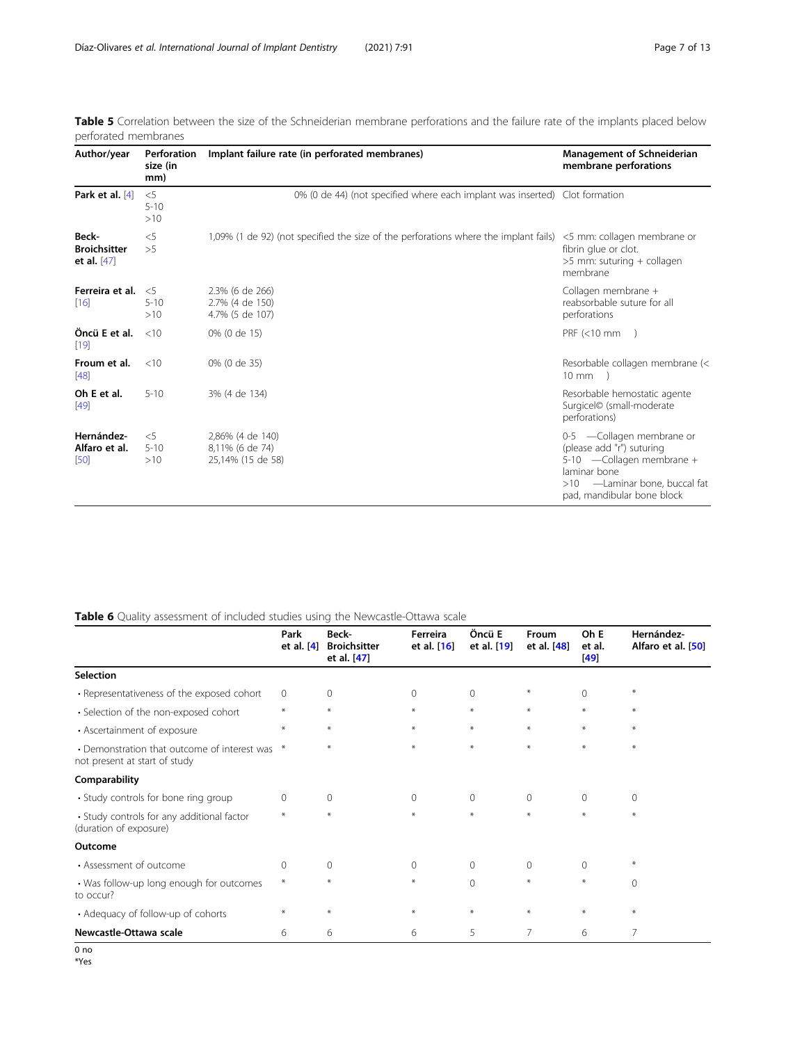| Author/year<br>Perforation<br>size (in<br>mm)        |                          | Implant failure rate (in perforated membranes)                                       | <b>Management of Schneiderian</b><br>membrane perforations                                                                                                            |  |  |
|------------------------------------------------------|--------------------------|--------------------------------------------------------------------------------------|-----------------------------------------------------------------------------------------------------------------------------------------------------------------------|--|--|
| Park et al. [4]                                      | $<$ 5<br>$5 - 10$<br>>10 | 0% (0 de 44) (not specified where each implant was inserted) Clot formation          |                                                                                                                                                                       |  |  |
| <b>Beck-</b><br><b>Broichsitter</b><br>et al. $[47]$ | $<$ 5<br>>5              | 1,09% (1 de 92) (not specified the size of the perforations where the implant fails) | <5 mm: collagen membrane or<br>fibrin glue or clot.<br>>5 mm: suturing + collagen<br>membrane                                                                         |  |  |
| Ferreira et al.<br>[16]                              | &5<br>$5 - 10$<br>>10    | 2.3% (6 de 266)<br>2.7% (4 de 150)<br>4.7% (5 de 107)                                | Collagen membrane +<br>reabsorbable suture for all<br>perforations                                                                                                    |  |  |
| Öncü E et al.<br>[19]                                | <10                      | 0% (0 de 15)                                                                         | $PRF$ (<10 mm                                                                                                                                                         |  |  |
| Froum et al.<br>[48]                                 | <10                      | 0% (0 de 35)                                                                         | Resorbable collagen membrane (<<br>$10 \text{ mm}$                                                                                                                    |  |  |
| Oh E et al.<br>[49]                                  | $5 - 10$                 | 3% (4 de 134)                                                                        | Resorbable hemostatic agente<br>Surgicel© (small-moderate<br>perforations)                                                                                            |  |  |
| Hernández-<br>Alfaro et al.<br>[50]                  | $<$ 5<br>$5 - 10$<br>>10 | 2,86% (4 de 140)<br>8,11% (6 de 74)<br>25,14% (15 de 58)                             | 0-5 -Collagen membrane or<br>(please add "r") suturing<br>5-10 -Collagen membrane +<br>laminar bone<br>-Laminar bone, buccal fat<br>>10<br>pad, mandibular bone block |  |  |

<span id="page-6-0"></span>Table 5 Correlation between the size of the Schneiderian membrane perforations and the failure rate of the implants placed below perforated membranes

# Table 6 Quality assessment of included studies using the Newcastle-Ottawa scale

|                                                                               | Park<br>et al. $[4]$ | Beck-<br><b>Broichsitter</b><br>et al. [47] | Ferreira<br>et al. [16] | Öncü E<br>et al. [19] | Froum<br>et al. [48] | Oh E<br>et al.<br>[49] | Hernández-<br>Alfaro et al. [50] |
|-------------------------------------------------------------------------------|----------------------|---------------------------------------------|-------------------------|-----------------------|----------------------|------------------------|----------------------------------|
| <b>Selection</b>                                                              |                      |                                             |                         |                       |                      |                        |                                  |
| • Representativeness of the exposed cohort                                    | $\mathbf 0$          | $\Omega$                                    | $\Omega$                | $\mathbf{0}$          | $\ast$               | $\Omega$               | $\ast$                           |
| • Selection of the non-exposed cohort                                         | $\ast$               | $\ast$                                      | $\ast$                  | $\ast$                | $\ast$               | $\ast$                 | $*$                              |
| • Ascertainment of exposure                                                   | $\ast$               | $*$                                         | $*$                     | $\ast$                | $\ast$               | $*$                    | $*$                              |
| • Demonstration that outcome of interest was<br>not present at start of study | $\ast$               | $\ast$                                      | $*$                     | $\ast$                | $\ast$               | $*$                    | $*$                              |
| Comparability                                                                 |                      |                                             |                         |                       |                      |                        |                                  |
| • Study controls for bone ring group                                          | $\Omega$             | $\Omega$                                    | $\Omega$                | $\mathbf{0}$          | $\Omega$             | $\Omega$               | $\Omega$                         |
| • Study controls for any additional factor<br>(duration of exposure)          | $\ast$               | $*$                                         | $*$                     | $\ast$                | $\ast$               | $\ast$                 | $\ast$                           |
| Outcome                                                                       |                      |                                             |                         |                       |                      |                        |                                  |
| • Assessment of outcome                                                       | $\mathbf 0$          | $\mathbf 0$                                 | $\mathbf{0}$            | $\mathbf{0}$          | $\mathbf{0}$         | $\Omega$               | ⋇                                |
| • Was follow-up long enough for outcomes<br>to occur?                         | $\ast$               | $\ast$                                      | $\ast$                  | $\Omega$              | $\ast$               | $\ast$                 | $\Omega$                         |
| • Adequacy of follow-up of cohorts                                            | $\ast$               | $*$                                         | $\ast$                  | $\ast$                | $\ast$               | $\ast$                 | $\ast$                           |
| Newcastle-Ottawa scale                                                        | 6                    | 6                                           | 6                       | 5                     | $\overline{7}$       | 6                      | 7                                |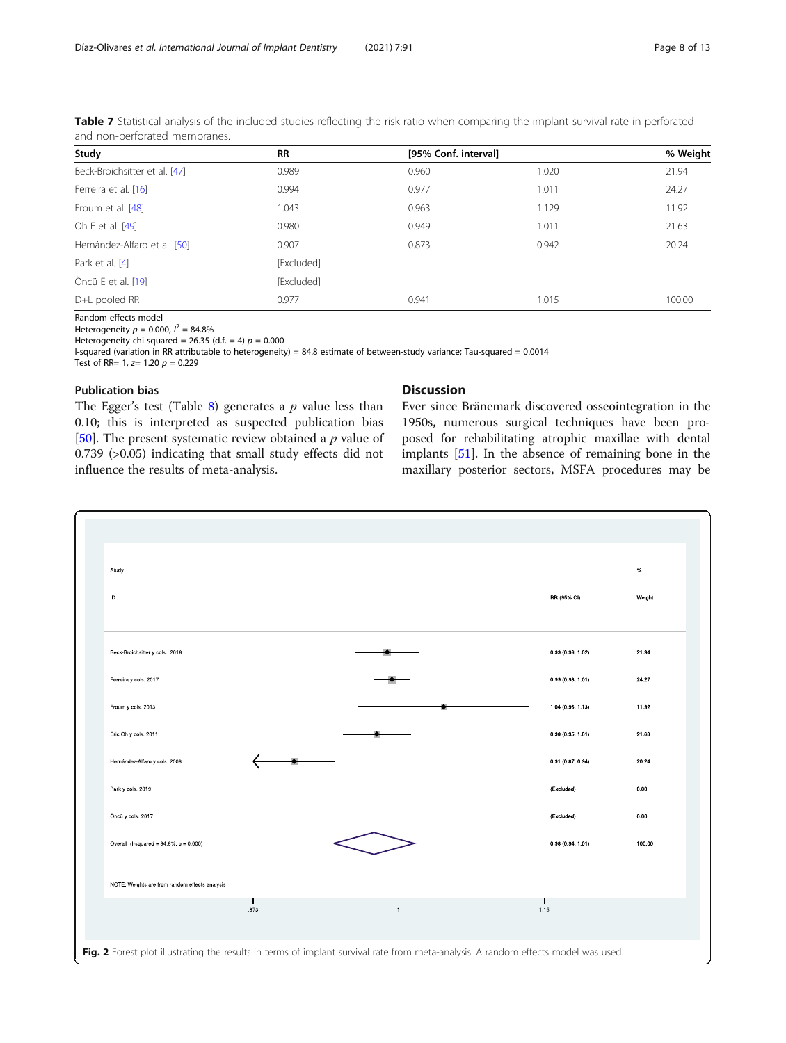| Study                         | <b>RR</b>  |       | [95% Conf. interval] |        |  |
|-------------------------------|------------|-------|----------------------|--------|--|
| Beck-Broichsitter et al. [47] | 0.989      | 0.960 | 1.020                | 21.94  |  |
| Ferreira et al. [16]          | 0.994      | 0.977 | 1.011                | 24.27  |  |
| Froum et al. [48]             | 1.043      | 0.963 | 1.129                | 11.92  |  |
| Oh E et al. [49]              | 0.980      | 0.949 | 1.011                | 21.63  |  |
| Hernández-Alfaro et al. [50]  | 0.907      | 0.873 | 0.942                | 20.24  |  |
| Park et al. [4]               | [Excluded] |       |                      |        |  |
| Öncü E et al. [19]            | [Excluded] |       |                      |        |  |
| D+L pooled RR                 | 0.977      | 0.941 | 1.015                | 100.00 |  |

<span id="page-7-0"></span>Table 7 Statistical analysis of the included studies reflecting the risk ratio when comparing the implant survival rate in perforated and non-perforated membranes.

Random-effects model

Heterogeneity  $p = 0.000$ ,  $l^2 = 84.8\%$ 

Heterogeneity chi-squared = 26.35 (d.f. = 4)  $p = 0.000$ 

I-squared (variation in RR attributable to heterogeneity) = 84.8 estimate of between-study variance; Tau-squared = 0.0014 Test of RR=  $1, z= 1.20 p = 0.229$ 

## Publication bias

The Egger's test (Table [8\)](#page-8-0) generates a  $p$  value less than 0.10; this is interpreted as suspected publication bias [[50\]](#page-11-0). The present systematic review obtained a  $p$  value of 0.739 (>0.05) indicating that small study effects did not influence the results of meta-analysis.

# Discussion

Ever since Bränemark discovered osseointegration in the 1950s, numerous surgical techniques have been proposed for rehabilitating atrophic maxillae with dental implants [\[51](#page-11-0)]. In the absence of remaining bone in the maxillary posterior sectors, MSFA procedures may be

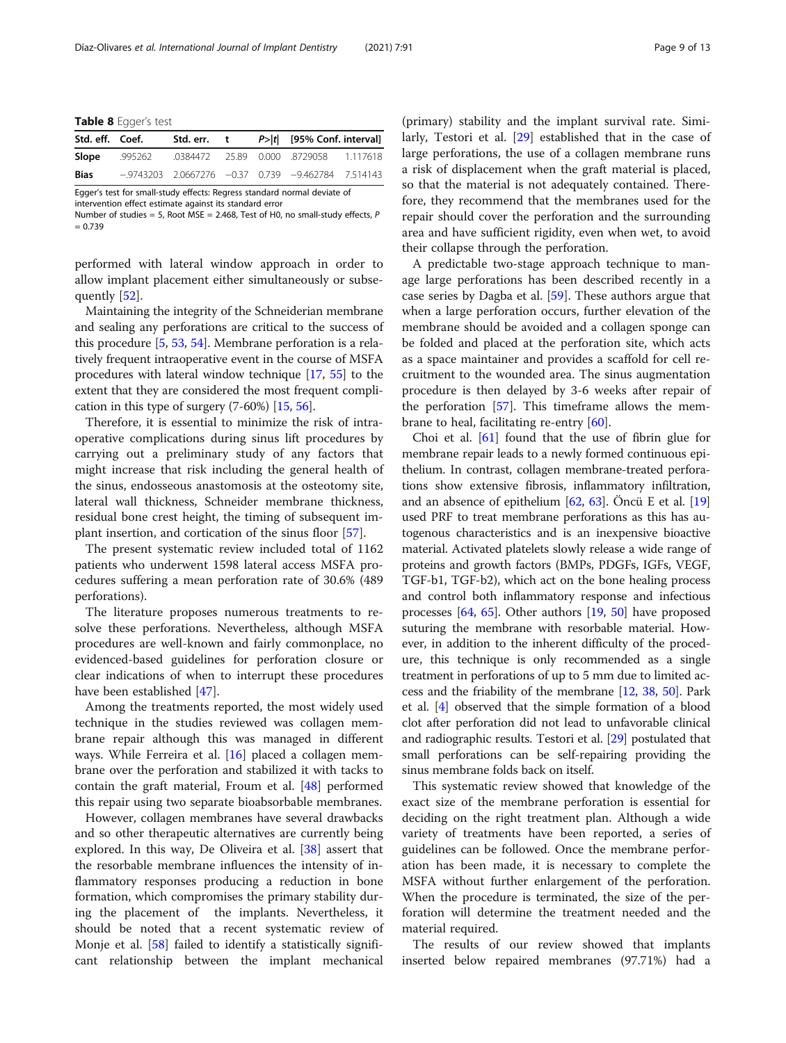<span id="page-8-0"></span>Table 8 Egger's test

| Std. eff. Coef.                                                          |  |  |  |  | Std. err. t $P> t $ [95% Conf. interval]                |  |
|--------------------------------------------------------------------------|--|--|--|--|---------------------------------------------------------|--|
| Slope                                                                    |  |  |  |  | .995262 .0384472 25.89 0.000 .8729058 1.117618          |  |
| <b>Bias</b>                                                              |  |  |  |  | $-9743203$ 2.0667276 $-0.37$ 0.739 $-9.462784$ 7.514143 |  |
| Egger's test for small-study effects: Regress standard normal deviate of |  |  |  |  |                                                         |  |

intervention effect estimate against its standard error

Number of studies = 5, Root MSE = 2.468, Test of H0, no small-study effects, P  $= 0.739$ 

performed with lateral window approach in order to allow implant placement either simultaneously or subsequently [\[52](#page-11-0)].

Maintaining the integrity of the Schneiderian membrane and sealing any perforations are critical to the success of this procedure [\[5](#page-10-0), [53,](#page-11-0) [54](#page-11-0)]. Membrane perforation is a relatively frequent intraoperative event in the course of MSFA procedures with lateral window technique [[17](#page-10-0), [55\]](#page-11-0) to the extent that they are considered the most frequent complication in this type of surgery (7-60%) [[15,](#page-10-0) [56\]](#page-11-0).

Therefore, it is essential to minimize the risk of intraoperative complications during sinus lift procedures by carrying out a preliminary study of any factors that might increase that risk including the general health of the sinus, endosseous anastomosis at the osteotomy site, lateral wall thickness, Schneider membrane thickness, residual bone crest height, the timing of subsequent implant insertion, and cortication of the sinus floor [\[57](#page-11-0)].

The present systematic review included total of 1162 patients who underwent 1598 lateral access MSFA procedures suffering a mean perforation rate of 30.6% (489 perforations).

The literature proposes numerous treatments to resolve these perforations. Nevertheless, although MSFA procedures are well-known and fairly commonplace, no evidenced-based guidelines for perforation closure or clear indications of when to interrupt these procedures have been established [\[47](#page-11-0)].

Among the treatments reported, the most widely used technique in the studies reviewed was collagen membrane repair although this was managed in different ways. While Ferreira et al. [[16\]](#page-10-0) placed a collagen membrane over the perforation and stabilized it with tacks to contain the graft material, Froum et al. [[48](#page-11-0)] performed this repair using two separate bioabsorbable membranes.

However, collagen membranes have several drawbacks and so other therapeutic alternatives are currently being explored. In this way, De Oliveira et al. [\[38](#page-11-0)] assert that the resorbable membrane influences the intensity of inflammatory responses producing a reduction in bone formation, which compromises the primary stability during the placement of the implants. Nevertheless, it should be noted that a recent systematic review of Monje et al. [\[58\]](#page-11-0) failed to identify a statistically significant relationship between the implant mechanical

(primary) stability and the implant survival rate. Similarly, Testori et al. [[29\]](#page-11-0) established that in the case of large perforations, the use of a collagen membrane runs a risk of displacement when the graft material is placed, so that the material is not adequately contained. Therefore, they recommend that the membranes used for the repair should cover the perforation and the surrounding area and have sufficient rigidity, even when wet, to avoid their collapse through the perforation.

A predictable two-stage approach technique to manage large perforations has been described recently in a case series by Dagba et al. [[59](#page-11-0)]. These authors argue that when a large perforation occurs, further elevation of the membrane should be avoided and a collagen sponge can be folded and placed at the perforation site, which acts as a space maintainer and provides a scaffold for cell recruitment to the wounded area. The sinus augmentation procedure is then delayed by 3-6 weeks after repair of the perforation [\[57](#page-11-0)]. This timeframe allows the membrane to heal, facilitating re-entry [\[60\]](#page-11-0).

Choi et al. [\[61](#page-11-0)] found that the use of fibrin glue for membrane repair leads to a newly formed continuous epithelium. In contrast, collagen membrane-treated perforations show extensive fibrosis, inflammatory infiltration, and an absence of epithelium [\[62,](#page-11-0) [63](#page-11-0)]. Öncü E et al. [[19](#page-10-0)] used PRF to treat membrane perforations as this has autogenous characteristics and is an inexpensive bioactive material. Activated platelets slowly release a wide range of proteins and growth factors (BMPs, PDGFs, IGFs, VEGF, TGF-b1, TGF-b2), which act on the bone healing process and control both inflammatory response and infectious processes [\[64,](#page-11-0) [65](#page-11-0)]. Other authors [[19](#page-10-0), [50\]](#page-11-0) have proposed suturing the membrane with resorbable material. However, in addition to the inherent difficulty of the procedure, this technique is only recommended as a single treatment in perforations of up to 5 mm due to limited access and the friability of the membrane [[12](#page-10-0), [38,](#page-11-0) [50\]](#page-11-0). Park et al. [\[4](#page-10-0)] observed that the simple formation of a blood clot after perforation did not lead to unfavorable clinical and radiographic results. Testori et al. [[29\]](#page-11-0) postulated that small perforations can be self-repairing providing the sinus membrane folds back on itself.

This systematic review showed that knowledge of the exact size of the membrane perforation is essential for deciding on the right treatment plan. Although a wide variety of treatments have been reported, a series of guidelines can be followed. Once the membrane perforation has been made, it is necessary to complete the MSFA without further enlargement of the perforation. When the procedure is terminated, the size of the perforation will determine the treatment needed and the material required.

The results of our review showed that implants inserted below repaired membranes (97.71%) had a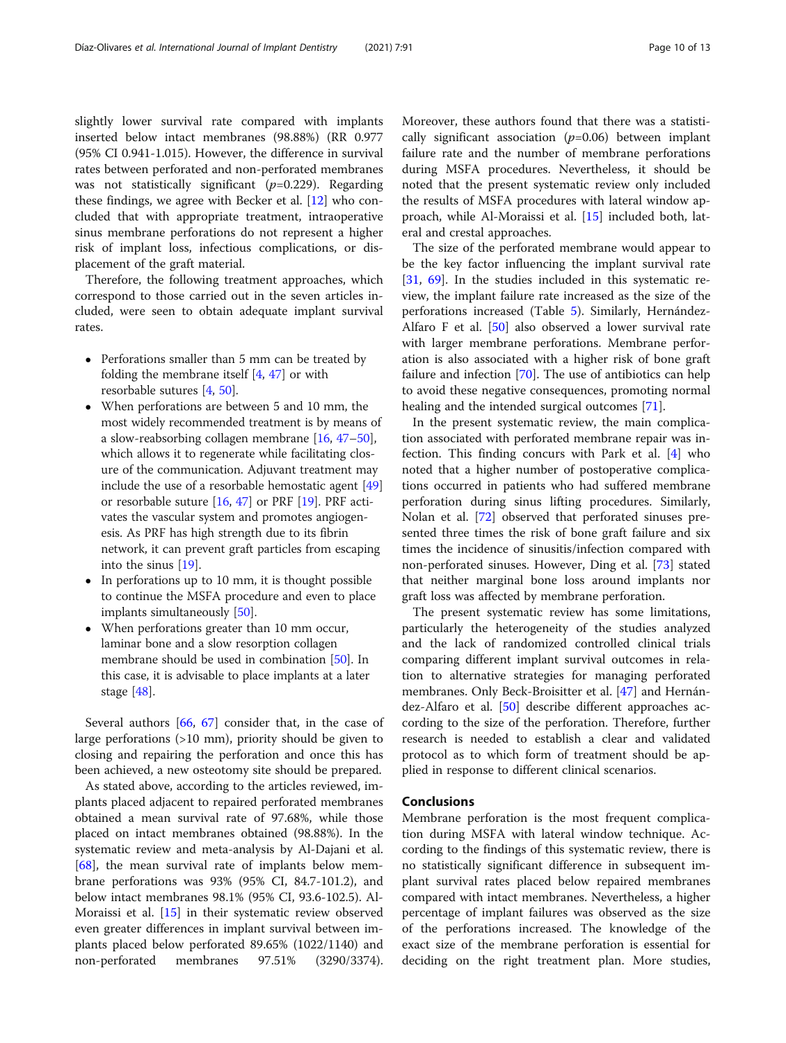slightly lower survival rate compared with implants inserted below intact membranes (98.88%) (RR 0.977 (95% CI 0.941-1.015). However, the difference in survival rates between perforated and non-perforated membranes was not statistically significant  $(p=0.229)$ . Regarding these findings, we agree with Becker et al. [[12](#page-10-0)] who concluded that with appropriate treatment, intraoperative sinus membrane perforations do not represent a higher risk of implant loss, infectious complications, or displacement of the graft material.

Therefore, the following treatment approaches, which correspond to those carried out in the seven articles included, were seen to obtain adequate implant survival rates.

- Perforations smaller than 5 mm can be treated by folding the membrane itself  $[4, 47]$  $[4, 47]$  $[4, 47]$  $[4, 47]$  or with resorbable sutures [\[4,](#page-10-0) [50\]](#page-11-0).
- When perforations are between 5 and 10 mm, the most widely recommended treatment is by means of a slow-reabsorbing collagen membrane [\[16](#page-10-0), [47](#page-11-0)–[50](#page-11-0)], which allows it to regenerate while facilitating closure of the communication. Adjuvant treatment may include the use of a resorbable hemostatic agent [[49](#page-11-0)] or resorbable suture [\[16,](#page-10-0) [47](#page-11-0)] or PRF [\[19](#page-10-0)]. PRF activates the vascular system and promotes angiogenesis. As PRF has high strength due to its fibrin network, it can prevent graft particles from escaping into the sinus [[19](#page-10-0)].
- In perforations up to 10 mm, it is thought possible to continue the MSFA procedure and even to place implants simultaneously [[50\]](#page-11-0).
- When perforations greater than 10 mm occur, laminar bone and a slow resorption collagen membrane should be used in combination [\[50\]](#page-11-0). In this case, it is advisable to place implants at a later stage [[48](#page-11-0)].

Several authors [\[66](#page-12-0), [67\]](#page-12-0) consider that, in the case of large perforations (>10 mm), priority should be given to closing and repairing the perforation and once this has been achieved, a new osteotomy site should be prepared.

As stated above, according to the articles reviewed, implants placed adjacent to repaired perforated membranes obtained a mean survival rate of 97.68%, while those placed on intact membranes obtained (98.88%). In the systematic review and meta-analysis by Al-Dajani et al. [[68\]](#page-12-0), the mean survival rate of implants below membrane perforations was 93% (95% CI, 84.7-101.2), and below intact membranes 98.1% (95% CI, 93.6-102.5). Al-Moraissi et al. [\[15](#page-10-0)] in their systematic review observed even greater differences in implant survival between implants placed below perforated 89.65% (1022/1140) and non-perforated membranes 97.51% (3290/3374). Moreover, these authors found that there was a statistically significant association  $(p=0.06)$  between implant failure rate and the number of membrane perforations during MSFA procedures. Nevertheless, it should be noted that the present systematic review only included the results of MSFA procedures with lateral window approach, while Al-Moraissi et al. [\[15\]](#page-10-0) included both, lateral and crestal approaches.

The size of the perforated membrane would appear to be the key factor influencing the implant survival rate [[31,](#page-11-0) [69](#page-12-0)]. In the studies included in this systematic review, the implant failure rate increased as the size of the perforations increased (Table [5](#page-6-0)). Similarly, Hernández-Alfaro F et al. [[50\]](#page-11-0) also observed a lower survival rate with larger membrane perforations. Membrane perforation is also associated with a higher risk of bone graft failure and infection [[70](#page-12-0)]. The use of antibiotics can help to avoid these negative consequences, promoting normal healing and the intended surgical outcomes [\[71](#page-12-0)].

In the present systematic review, the main complication associated with perforated membrane repair was infection. This finding concurs with Park et al. [\[4](#page-10-0)] who noted that a higher number of postoperative complications occurred in patients who had suffered membrane perforation during sinus lifting procedures. Similarly, Nolan et al. [[72\]](#page-12-0) observed that perforated sinuses presented three times the risk of bone graft failure and six times the incidence of sinusitis/infection compared with non-perforated sinuses. However, Ding et al. [[73\]](#page-12-0) stated that neither marginal bone loss around implants nor graft loss was affected by membrane perforation.

The present systematic review has some limitations, particularly the heterogeneity of the studies analyzed and the lack of randomized controlled clinical trials comparing different implant survival outcomes in relation to alternative strategies for managing perforated membranes. Only Beck-Broisitter et al. [\[47\]](#page-11-0) and Hernández-Alfaro et al. [\[50\]](#page-11-0) describe different approaches according to the size of the perforation. Therefore, further research is needed to establish a clear and validated protocol as to which form of treatment should be applied in response to different clinical scenarios.

## Conclusions

Membrane perforation is the most frequent complication during MSFA with lateral window technique. According to the findings of this systematic review, there is no statistically significant difference in subsequent implant survival rates placed below repaired membranes compared with intact membranes. Nevertheless, a higher percentage of implant failures was observed as the size of the perforations increased. The knowledge of the exact size of the membrane perforation is essential for deciding on the right treatment plan. More studies,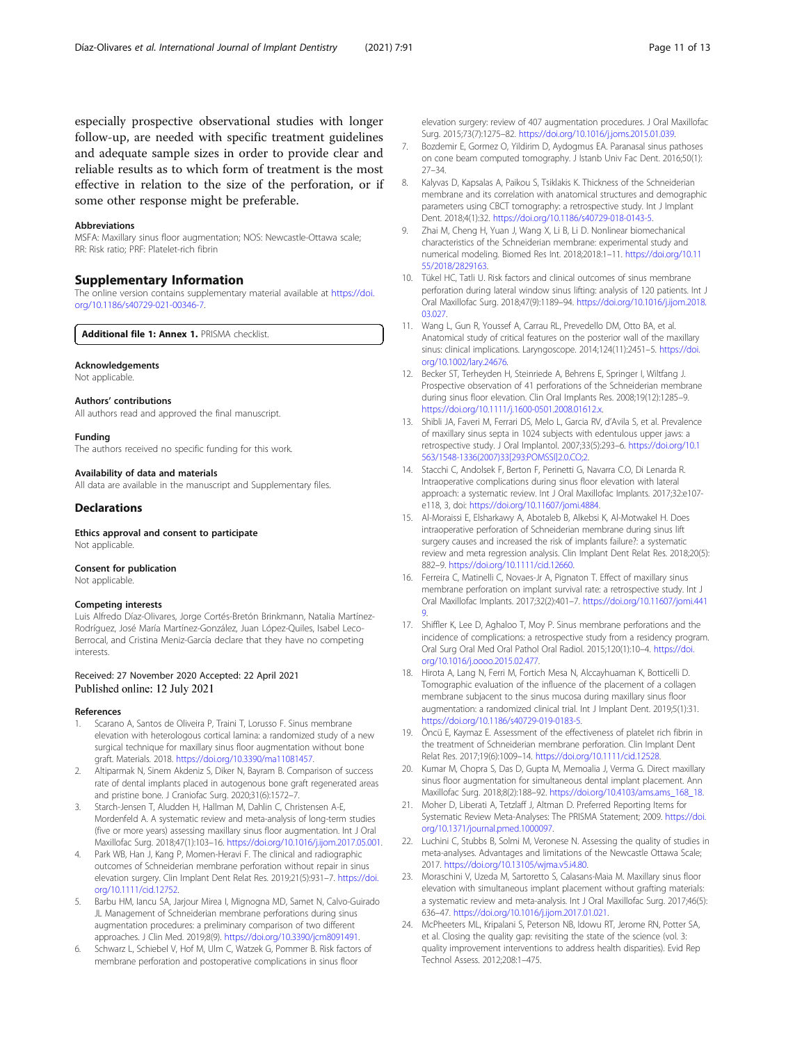<span id="page-10-0"></span>especially prospective observational studies with longer follow-up, are needed with specific treatment guidelines and adequate sample sizes in order to provide clear and reliable results as to which form of treatment is the most effective in relation to the size of the perforation, or if some other response might be preferable.

## Abbreviations

MSFA: Maxillary sinus floor augmentation; NOS: Newcastle-Ottawa scale; RR: Risk ratio; PRF: Platelet-rich fibrin

## Supplementary Information

The online version contains supplementary material available at [https://doi.](https://doi.org/10.1186/s40729-021-00346-7) [org/10.1186/s40729-021-00346-7.](https://doi.org/10.1186/s40729-021-00346-7)

Additional file 1: Annex 1. PRISMA checklist.

### Acknowledgements

Not applicable.

## Authors' contributions

All authors read and approved the final manuscript.

#### Funding

The authors received no specific funding for this work.

#### Availability of data and materials

All data are available in the manuscript and Supplementary files.

## **Declarations**

Ethics approval and consent to participate Not applicable.

# Consent for publication

Not applicable.

## Competing interests

Luis Alfredo Díaz-Olivares, Jorge Cortés-Bretón Brinkmann, Natalia Martínez-Rodríguez, José María Martínez-González, Juan López-Quiles, Isabel Leco-Berrocal, and Cristina Meniz-García declare that they have no competing interests.

## Received: 27 November 2020 Accepted: 22 April 2021 Published online: 12 July 2021

#### References

- 1. Scarano A, Santos de Oliveira P, Traini T, Lorusso F. Sinus membrane elevation with heterologous cortical lamina: a randomized study of a new surgical technique for maxillary sinus floor augmentation without bone graft. Materials. 2018. <https://doi.org/10.3390/ma11081457>.
- 2. Altiparmak N, Sinem Akdeniz S, Diker N, Bayram B. Comparison of success rate of dental implants placed in autogenous bone graft regenerated areas and pristine bone. J Craniofac Surg. 2020;31(6):1572–7.
- Starch-Jensen T, Aludden H, Hallman M, Dahlin C, Christensen A-E, Mordenfeld A. A systematic review and meta-analysis of long-term studies (five or more years) assessing maxillary sinus floor augmentation. Int J Oral Maxillofac Surg. 2018;47(1):103–16. [https://doi.org/10.1016/j.ijom.2017.05.001.](https://doi.org/10.1016/j.ijom.2017.05.001)
- Park WB, Han J, Kang P, Momen-Heravi F. The clinical and radiographic outcomes of Schneiderian membrane perforation without repair in sinus elevation surgery. Clin Implant Dent Relat Res. 2019;21(5):931–7. [https://doi.](https://doi.org/10.1111/cid.12752) [org/10.1111/cid.12752.](https://doi.org/10.1111/cid.12752)
- Barbu HM, Iancu SA, Jarjour Mirea I, Mignogna MD, Samet N, Calvo-Guirado JL Management of Schneiderian membrane perforations during sinus augmentation procedures: a preliminary comparison of two different approaches. J Clin Med. 2019;8(9). [https://doi.org/10.3390/jcm8091491.](https://doi.org/10.3390/jcm8091491)
- Schwarz L, Schiebel V, Hof M, Ulm C, Watzek G, Pommer B. Risk factors of membrane perforation and postoperative complications in sinus floor

elevation surgery: review of 407 augmentation procedures. J Oral Maxillofac Surg. 2015;73(7):1275–82. <https://doi.org/10.1016/j.joms.2015.01.039>.

- 7. Bozdemir E, Gormez O, Yildirim D, Aydogmus EA. Paranasal sinus pathoses on cone beam computed tomography. J Istanb Univ Fac Dent. 2016;50(1): 27–34.
- 8. Kalyvas D, Kapsalas A, Paikou S, Tsiklakis K. Thickness of the Schneiderian membrane and its correlation with anatomical structures and demographic parameters using CBCT tomography: a retrospective study. Int J Implant Dent. 2018;4(1):32. <https://doi.org/10.1186/s40729-018-0143-5>.
- 9. Zhai M, Cheng H, Yuan J, Wang X, Li B, Li D. Nonlinear biomechanical characteristics of the Schneiderian membrane: experimental study and numerical modeling. Biomed Res Int. 2018;2018:1–11. [https://doi.org/10.11](https://doi.org/10.1155/2018/2829163) [55/2018/2829163.](https://doi.org/10.1155/2018/2829163)
- 10. Tükel HC, Tatli U. Risk factors and clinical outcomes of sinus membrane perforation during lateral window sinus lifting: analysis of 120 patients. Int J Oral Maxillofac Surg. 2018;47(9):1189–94. [https://doi.org/10.1016/j.ijom.2018.](https://doi.org/10.1016/j.ijom.2018.03.027) [03.027](https://doi.org/10.1016/j.ijom.2018.03.027).
- 11. Wang L, Gun R, Youssef A, Carrau RL, Prevedello DM, Otto BA, et al. Anatomical study of critical features on the posterior wall of the maxillary sinus: clinical implications. Laryngoscope. 2014;124(11):2451–5. [https://doi.](https://doi.org/10.1002/lary.24676) [org/10.1002/lary.24676](https://doi.org/10.1002/lary.24676).
- 12. Becker ST, Terheyden H, Steinriede A, Behrens E, Springer I, Wiltfang J. Prospective observation of 41 perforations of the Schneiderian membrane during sinus floor elevation. Clin Oral Implants Res. 2008;19(12):1285–9. <https://doi.org/10.1111/j.1600-0501.2008.01612.x>.
- 13. Shibli JA, Faveri M, Ferrari DS, Melo L, Garcia RV, d'Avila S, et al. Prevalence of maxillary sinus septa in 1024 subjects with edentulous upper jaws: a retrospective study. J Oral Implantol. 2007;33(5):293–6. [https://doi.org/10.1](https://doi.org/10.1563/1548-1336(2007)33[293:POMSSI]2.0.CO;2) [563/1548-1336\(2007\)33\[293:POMSSI\]2.0.CO;2](https://doi.org/10.1563/1548-1336(2007)33[293:POMSSI]2.0.CO;2).
- 14. Stacchi C, Andolsek F, Berton F, Perinetti G, Navarra C.O, Di Lenarda R. Intraoperative complications during sinus floor elevation with lateral approach: a systematic review. Int J Oral Maxillofac Implants. 2017;32:e107 e118, 3, doi: [https://doi.org/10.11607/jomi.4884.](https://doi.org/10.11607/jomi.4884)
- 15. Al-Moraissi E, Elsharkawy A, Abotaleb B, Alkebsi K, Al-Motwakel H. Does intraoperative perforation of Schneiderian membrane during sinus lift surgery causes and increased the risk of implants failure?: a systematic review and meta regression analysis. Clin Implant Dent Relat Res. 2018;20(5): 882–9. <https://doi.org/10.1111/cid.12660>.
- 16. Ferreira C, Matinelli C, Novaes-Jr A, Pignaton T. Effect of maxillary sinus membrane perforation on implant survival rate: a retrospective study. Int J Oral Maxillofac Implants. 2017;32(2):401–7. [https://doi.org/10.11607/jomi.441](https://doi.org/10.11607/jomi.4419) [9](https://doi.org/10.11607/jomi.4419).
- 17. Shiffler K, Lee D, Aghaloo T, Moy P. Sinus membrane perforations and the incidence of complications: a retrospective study from a residency program. Oral Surg Oral Med Oral Pathol Oral Radiol. 2015;120(1):10–4. [https://doi.](https://doi.org/10.1016/j.oooo.2015.02.477) [org/10.1016/j.oooo.2015.02.477](https://doi.org/10.1016/j.oooo.2015.02.477).
- 18. Hirota A, Lang N, Ferri M, Fortich Mesa N, Alccayhuaman K, Botticelli D. Tomographic evaluation of the influence of the placement of a collagen membrane subjacent to the sinus mucosa during maxillary sinus floor augmentation: a randomized clinical trial. Int J Implant Dent. 2019;5(1):31. <https://doi.org/10.1186/s40729-019-0183-5>.
- 19. Öncü E, Kaymaz E. Assessment of the effectiveness of platelet rich fibrin in the treatment of Schneiderian membrane perforation. Clin Implant Dent Relat Res. 2017;19(6):1009–14. [https://doi.org/10.1111/cid.12528.](https://doi.org/10.1111/cid.12528)
- 20. Kumar M, Chopra S, Das D, Gupta M, Memoalia J, Verma G. Direct maxillary sinus floor augmentation for simultaneous dental implant placement. Ann Maxillofac Surg. 2018;8(2):188–92. [https://doi.org/10.4103/ams.ams\\_168\\_18](https://doi.org/10.4103/ams.ams_168_18).
- 21. Moher D, Liberati A, Tetzlaff J, Altman D. Preferred Reporting Items for Systematic Review Meta-Analyses: The PRISMA Statement; 2009. [https://doi.](https://doi.org/10.1371/journal.pmed.1000097) [org/10.1371/journal.pmed.1000097.](https://doi.org/10.1371/journal.pmed.1000097)
- 22. Luchini C, Stubbs B, Solmi M, Veronese N. Assessing the quality of studies in meta-analyses. Advantages and limitations of the Newcastle Ottawa Scale; 2017. [https://doi.org/10.13105/wjma.v5.i4.80.](https://doi.org/10.13105/wjma.v5.i4.80)
- 23. Moraschini V, Uzeda M, Sartoretto S, Calasans-Maia M. Maxillary sinus floor elevation with simultaneous implant placement without grafting materials: a systematic review and meta-analysis. Int J Oral Maxillofac Surg. 2017;46(5): 636–47. <https://doi.org/10.1016/j.ijom.2017.01.021>.
- 24. McPheeters ML, Kripalani S, Peterson NB, Idowu RT, Jerome RN, Potter SA, et al. Closing the quality gap: revisiting the state of the science (vol. 3: quality improvement interventions to address health disparities). Evid Rep Technol Assess. 2012;208:1–475.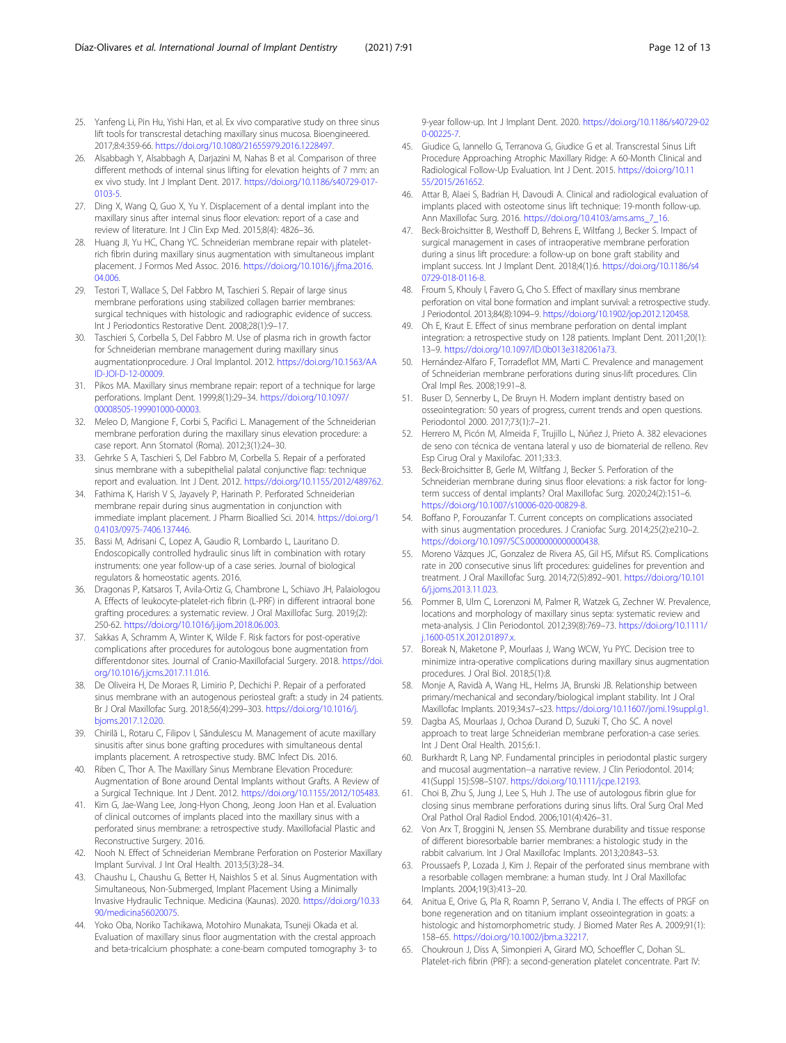- <span id="page-11-0"></span>25. Yanfeng Li, Pin Hu, Yishi Han, et al. Ex vivo comparative study on three sinus lift tools for transcrestal detaching maxillary sinus mucosa. Bioengineered. 2017;8:4:359-66. [https://doi.org/10.1080/21655979.2016.1228497.](https://doi.org/10.1080/21655979.2016.1228497)
- 26. Alsabbagh Y, Alsabbagh A, Darjazini M, Nahas B et al. Comparison of three different methods of internal sinus lifting for elevation heights of 7 mm: an ex vivo study. Int J Implant Dent. 2017. [https://doi.org/10.1186/s40729-017-](https://doi.org/10.1186/s40729-017-0103-5) [0103-5.](https://doi.org/10.1186/s40729-017-0103-5)
- 27. Ding X, Wang Q, Guo X, Yu Y. Displacement of a dental implant into the maxillary sinus after internal sinus floor elevation: report of a case and review of literature. Int J Clin Exp Med. 2015;8(4): 4826–36.
- 28. Huang JI, Yu HC, Chang YC. Schneiderian membrane repair with plateletrich fibrin during maxillary sinus augmentation with simultaneous implant placement. J Formos Med Assoc. 2016. [https://doi.org/10.1016/j.jfma.2016.](https://doi.org/10.1016/j.jfma.2016.04.006) [04.006.](https://doi.org/10.1016/j.jfma.2016.04.006)
- 29. Testori T, Wallace S, Del Fabbro M, Taschieri S. Repair of large sinus membrane perforations using stabilized collagen barrier membranes: surgical techniques with histologic and radiographic evidence of success. Int J Periodontics Restorative Dent. 2008;28(1):9–17.
- 30. Taschieri S, Corbella S, Del Fabbro M. Use of plasma rich in growth factor for Schneiderian membrane management during maxillary sinus augmentationprocedure. J Oral Implantol. 2012. [https://doi.org/10.1563/AA](https://doi.org/10.1563/AAID-JOI-D-12-00009) [ID-JOI-D-12-00009](https://doi.org/10.1563/AAID-JOI-D-12-00009).
- 31. Pikos MA. Maxillary sinus membrane repair: report of a technique for large perforations. Implant Dent. 1999;8(1):29–34. [https://doi.org/10.1097/](https://doi.org/10.1097/00008505-199901000-00003) [00008505-199901000-00003.](https://doi.org/10.1097/00008505-199901000-00003)
- 32. Meleo D, Mangione F, Corbi S, Pacifici L. Management of the Schneiderian membrane perforation during the maxillary sinus elevation procedure: a case report. Ann Stomatol (Roma). 2012;3(1):24–30.
- 33. Gehrke S A, Taschieri S, Del Fabbro M, Corbella S. Repair of a perforated sinus membrane with a subepithelial palatal conjunctive flap: technique report and evaluation. Int J Dent. 2012. <https://doi.org/10.1155/2012/489762>.
- 34. Fathima K, Harish V S, Jayavely P, Harinath P. Perforated Schneiderian membrane repair during sinus augmentation in conjunction with immediate implant placement. J Pharm Bioallied Sci. 2014. [https://doi.org/1](https://doi.org/10.4103/0975-7406.137446) [0.4103/0975-7406.137446](https://doi.org/10.4103/0975-7406.137446).
- 35. Bassi M, Adrisani C, Lopez A, Gaudio R, Lombardo L, Lauritano D. Endoscopically controlled hydraulic sinus lift in combination with rotary instruments: one year follow-up of a case series. Journal of biological regulators & homeostatic agents. 2016.
- 36. Dragonas P, Katsaros T, Avila-Ortiz G, Chambrone L, Schiavo JH, Palaiologou A. Effects of leukocyte-platelet-rich fibrin (L-PRF) in different intraoral bone grafting procedures: a systematic review. J Oral Maxillofac Surg. 2019;(2): 250-62. [https://doi.org/10.1016/j.ijom.2018.06.003.](https://doi.org/10.1016/j.ijom.2018.06.003)
- 37. Sakkas A, Schramm A, Winter K, Wilde F. Risk factors for post-operative complications after procedures for autologous bone augmentation from differentdonor sites. Journal of Cranio-Maxillofacial Surgery. 2018. [https://doi.](https://doi.org/10.1016/j.jcms.2017.11.016) [org/10.1016/j.jcms.2017.11.016.](https://doi.org/10.1016/j.jcms.2017.11.016)
- 38. De Oliveira H, De Moraes R, Limirio P, Dechichi P. Repair of a perforated sinus membrane with an autogenous periosteal graft: a study in 24 patients. Br J Oral Maxillofac Surg. 2018;56(4):299–303. [https://doi.org/10.1016/j.](https://doi.org/10.1016/j.bjoms.2017.12.020) [bjoms.2017.12.020](https://doi.org/10.1016/j.bjoms.2017.12.020).
- 39. Chirilă L, Rotaru C, Filipov I, Săndulescu M. Management of acute maxillary sinusitis after sinus bone grafting procedures with simultaneous dental implants placement. A retrospective study. BMC Infect Dis. 2016.
- 40. Riben C, Thor A. The Maxillary Sinus Membrane Elevation Procedure: Augmentation of Bone around Dental Implants without Grafts. A Review of a Surgical Technique. Int J Dent. 2012. [https://doi.org/10.1155/2012/105483.](https://doi.org/10.1155/2012/105483)
- 41. Kim G, Jae-Wang Lee, Jong-Hyon Chong, Jeong Joon Han et al. Evaluation of clinical outcomes of implants placed into the maxillary sinus with a perforated sinus membrane: a retrospective study. Maxillofacial Plastic and Reconstructive Surgery. 2016.
- 42. Nooh N. Effect of Schneiderian Membrane Perforation on Posterior Maxillary Implant Survival. J Int Oral Health. 2013;5(3):28–34.
- 43. Chaushu L, Chaushu G, Better H, Naishlos S et al. Sinus Augmentation with Simultaneous, Non-Submerged, Implant Placement Using a Minimally Invasive Hydraulic Technique. Medicina (Kaunas). 2020. [https://doi.org/10.33](https://doi.org/10.3390/medicina56020075) [90/medicina56020075](https://doi.org/10.3390/medicina56020075).
- 44. Yoko Oba, Noriko Tachikawa, Motohiro Munakata, Tsuneji Okada et al. Evaluation of maxillary sinus floor augmentation with the crestal approach and beta-tricalcium phosphate: a cone-beam computed tomography 3- to

9-year follow-up. Int J Implant Dent. 2020. [https://doi.org/10.1186/s40729-02](https://doi.org/10.1186/s40729-020-00225-7) [0-00225-7.](https://doi.org/10.1186/s40729-020-00225-7)

- 45. Giudice G, Iannello G, Terranova G, Giudice G et al. Transcrestal Sinus Lift Procedure Approaching Atrophic Maxillary Ridge: A 60-Month Clinical and Radiological Follow-Up Evaluation. Int J Dent. 2015. [https://doi.org/10.11](https://doi.org/10.1155/2015/261652) [55/2015/261652.](https://doi.org/10.1155/2015/261652)
- 46. Attar B, Alaei S, Badrian H, Davoudi A. Clinical and radiological evaluation of implants placed with osteotome sinus lift technique: 19-month follow-up. Ann Maxillofac Surg. 2016. [https://doi.org/10.4103/ams.ams\\_7\\_16.](https://doi.org/10.4103/ams.ams_7_16)
- 47. Beck-Broichsitter B, Westhoff D, Behrens E, Wiltfang J, Becker S. Impact of surgical management in cases of intraoperative membrane perforation during a sinus lift procedure: a follow-up on bone graft stability and implant success. Int J Implant Dent. 2018;4(1):6. [https://doi.org/10.1186/s4](https://doi.org/10.1186/s40729-018-0116-8) [0729-018-0116-8.](https://doi.org/10.1186/s40729-018-0116-8)
- 48. Froum S, Khouly I, Favero G, Cho S. Effect of maxillary sinus membrane perforation on vital bone formation and implant survival: a retrospective study. J Periodontol. 2013;84(8):1094–9. <https://doi.org/10.1902/jop.2012.120458>.
- 49. Oh E, Kraut E. Effect of sinus membrane perforation on dental implant integration: a retrospective study on 128 patients. Implant Dent. 2011;20(1): 13–9. <https://doi.org/10.1097/ID.0b013e3182061a73>.
- 50. Hernández-Alfaro F, Torradeflot MM, Marti C. Prevalence and management of Schneiderian membrane perforations during sinus-lift procedures. Clin Oral Impl Res. 2008;19:91–8.
- 51. Buser D, Sennerby L, De Bruyn H. Modern implant dentistry based on osseointegration: 50 years of progress, current trends and open questions. Periodontol 2000. 2017;73(1):7–21.
- 52. Herrero M, Picón M, Almeida F, Trujillo L, Núñez J, Prieto A. 382 elevaciones de seno con técnica de ventana lateral y uso de biomaterial de relleno. Rev Esp Cirug Oral y Maxilofac. 2011;33:3.
- 53. Beck-Broichsitter B, Gerle M, Wiltfang J, Becker S. Perforation of the Schneiderian membrane during sinus floor elevations: a risk factor for longterm success of dental implants? Oral Maxillofac Surg. 2020;24(2):151–6. [https://doi.org/10.1007/s10006-020-00829-8.](https://doi.org/10.1007/s10006-020-00829-8)
- 54. Boffano P, Forouzanfar T. Current concepts on complications associated with sinus augmentation procedures. J Craniofac Surg. 2014;25(2):e210–2. <https://doi.org/10.1097/SCS.0000000000000438>.
- 55. Moreno Vázques JC, Gonzalez de Rivera AS, Gil HS, Mifsut RS. Complications rate in 200 consecutive sinus lift procedures: guidelines for prevention and treatment. J Oral Maxillofac Surg. 2014;72(5):892–901. [https://doi.org/10.101](https://doi.org/10.1016/j.joms.2013.11.023) [6/j.joms.2013.11.023](https://doi.org/10.1016/j.joms.2013.11.023).
- 56. Pommer B, Ulm C, Lorenzoni M, Palmer R, Watzek G, Zechner W. Prevalence, locations and morphology of maxillary sinus septa: systematic review and meta-analysis. J Clin Periodontol. 2012;39(8):769–73. [https://doi.org/10.1111/](https://doi.org/10.1111/j.1600-051X.2012.01897.x) [j.1600-051X.2012.01897.x.](https://doi.org/10.1111/j.1600-051X.2012.01897.x)
- 57. Boreak N, Maketone P, Mourlaas J, Wang WCW, Yu PYC. Decision tree to minimize intra-operative complications during maxillary sinus augmentation procedures. J Oral Biol. 2018;5(1):8.
- 58. Monje A, Ravidà A, Wang HL, Helms JA, Brunski JB. Relationship between primary/mechanical and secondary/biological implant stability. Int J Oral Maxillofac Implants. 2019;34:s7–s23. [https://doi.org/10.11607/jomi.19suppl.g1.](https://doi.org/10.11607/jomi.19suppl.g1)
- 59. Dagba AS, Mourlaas J, Ochoa Durand D, Suzuki T, Cho SC. A novel approach to treat large Schneiderian membrane perforation-a case series. Int J Dent Oral Health. 2015;6:1.
- 60. Burkhardt R, Lang NP. Fundamental principles in periodontal plastic surgery and mucosal augmentation--a narrative review. J Clin Periodontol. 2014; 41(Suppl 15):S98–S107. <https://doi.org/10.1111/jcpe.12193>.
- 61. Choi B, Zhu S, Jung J, Lee S, Huh J. The use of autologous fibrin glue for closing sinus membrane perforations during sinus lifts. Oral Surg Oral Med Oral Pathol Oral Radiol Endod. 2006;101(4):426–31.
- 62. Von Arx T, Broggini N, Jensen SS. Membrane durability and tissue response of different bioresorbable barrier membranes: a histologic study in the rabbit calvarium. Int J Oral Maxillofac Implants. 2013;20:843–53.
- 63. Proussaefs P, Lozada J, Kim J. Repair of the perforated sinus membrane with a resorbable collagen membrane: a human study. Int J Oral Maxillofac Implants. 2004;19(3):413–20.
- 64. Anitua E, Orive G, Pla R, Roamn P, Serrano V, Andia I. The effects of PRGF on bone regeneration and on titanium implant osseointegration in goats: a histologic and histomorphometric study. J Biomed Mater Res A. 2009;91(1): 158–65. [https://doi.org/10.1002/jbm.a.32217.](https://doi.org/10.1002/jbm.a.32217)
- 65. Choukroun J, Diss A, Simonpieri A, Girard MO, Schoeffler C, Dohan SL. Platelet-rich fibrin (PRF): a second-generation platelet concentrate. Part IV: